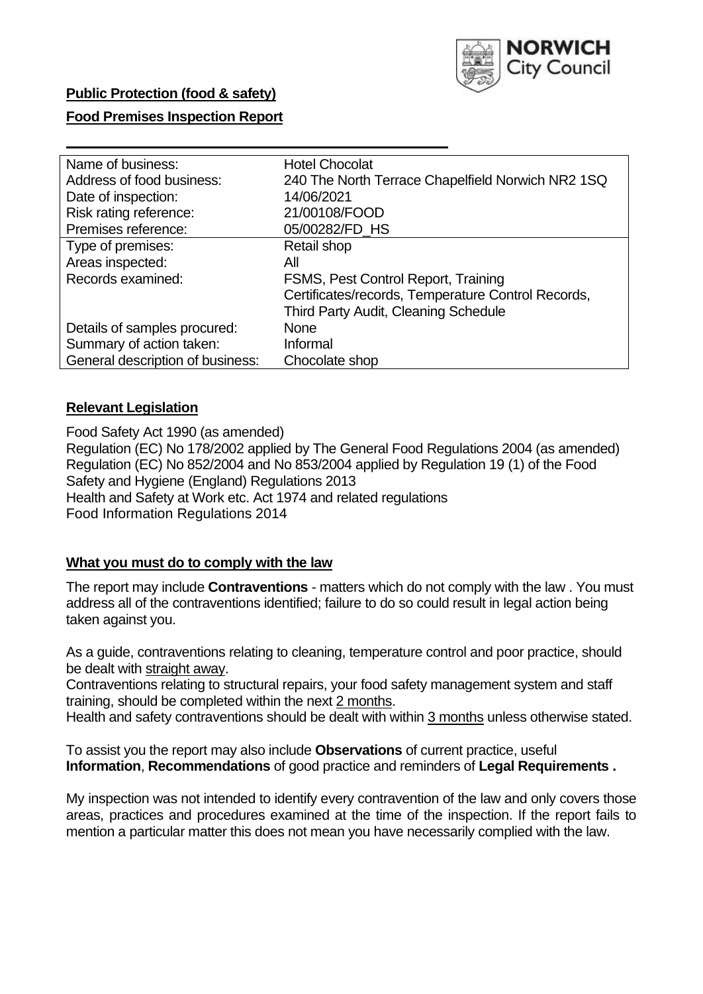

## **Public Protection (food & safety)**

#### **Food Premises Inspection Report**

| Name of business:                | <b>Hotel Chocolat</b>                              |
|----------------------------------|----------------------------------------------------|
| Address of food business:        | 240 The North Terrace Chapelfield Norwich NR2 1SQ  |
| Date of inspection:              | 14/06/2021                                         |
| Risk rating reference:           | 21/00108/FOOD                                      |
| Premises reference:              | 05/00282/FD_HS                                     |
| Type of premises:                | Retail shop                                        |
| Areas inspected:                 | All                                                |
| Records examined:                | FSMS, Pest Control Report, Training                |
|                                  | Certificates/records, Temperature Control Records, |
|                                  | Third Party Audit, Cleaning Schedule               |
| Details of samples procured:     | <b>None</b>                                        |
| Summary of action taken:         | Informal                                           |
| General description of business: | Chocolate shop                                     |
|                                  |                                                    |

### **Relevant Legislation**

 Food Safety Act 1990 (as amended) Regulation (EC) No 178/2002 applied by The General Food Regulations 2004 (as amended) Regulation (EC) No 852/2004 and No 853/2004 applied by Regulation 19 (1) of the Food Safety and Hygiene (England) Regulations 2013 Health and Safety at Work etc. Act 1974 and related regulations Food Information Regulations 2014

### **What you must do to comply with the law**

 The report may include **Contraventions** - matters which do not comply with the law . You must address all of the contraventions identified; failure to do so could result in legal action being taken against you.

 As a guide, contraventions relating to cleaning, temperature control and poor practice, should be dealt with straight away.

 Contraventions relating to structural repairs, your food safety management system and staff training, should be completed within the next 2 months.

Health and safety contraventions should be dealt with within 3 months unless otherwise stated.

 To assist you the report may also include **Observations** of current practice, useful **Information**, **Recommendations** of good practice and reminders of **Legal Requirements .** 

 My inspection was not intended to identify every contravention of the law and only covers those areas, practices and procedures examined at the time of the inspection. If the report fails to mention a particular matter this does not mean you have necessarily complied with the law.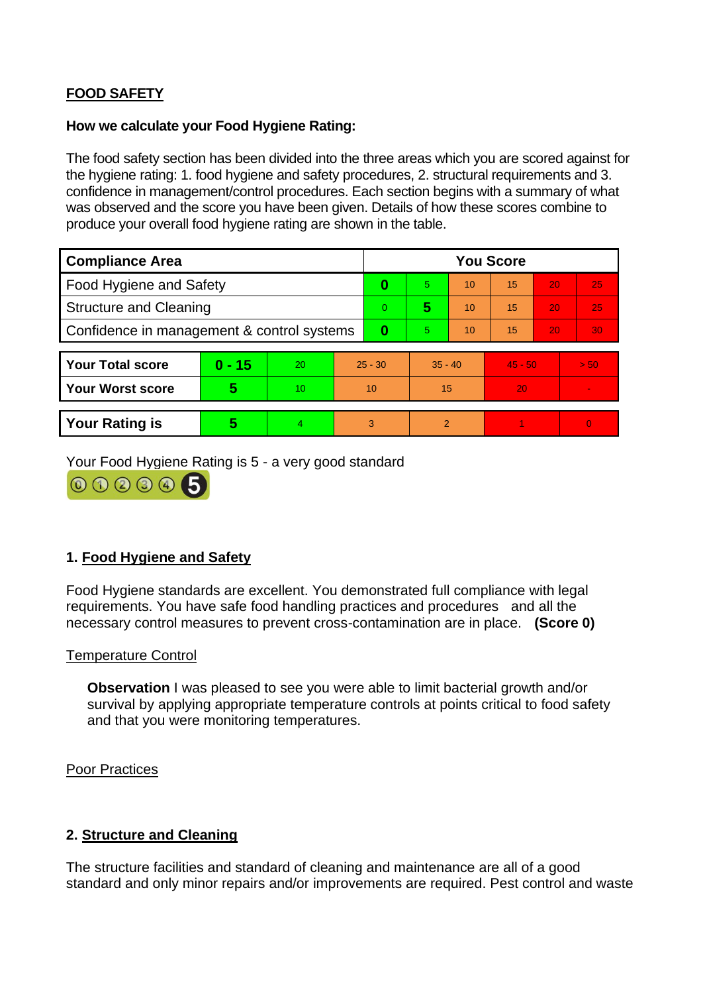# **FOOD SAFETY**

### **How we calculate your Food Hygiene Rating:**

 The food safety section has been divided into the three areas which you are scored against for the hygiene rating: 1. food hygiene and safety procedures, 2. structural requirements and 3. confidence in management/control procedures. Each section begins with a summary of what was observed and the score you have been given. Details of how these scores combine to produce your overall food hygiene rating are shown in the table.

| <b>Compliance Area</b>                     |          |    |           | <b>You Score</b> |                |    |           |    |                |  |  |
|--------------------------------------------|----------|----|-----------|------------------|----------------|----|-----------|----|----------------|--|--|
| Food Hygiene and Safety                    |          |    | 0         | 5.               | 10             | 15 | 20        | 25 |                |  |  |
| <b>Structure and Cleaning</b>              |          |    | $\Omega$  | 5                | 10             | 15 | 20        | 25 |                |  |  |
| Confidence in management & control systems |          |    | 0         | 5.               | 10             | 15 | 20        | 30 |                |  |  |
|                                            |          |    |           |                  |                |    |           |    |                |  |  |
| <b>Your Total score</b>                    | $0 - 15$ | 20 | $25 - 30$ |                  | $35 - 40$      |    | $45 - 50$ |    | > 50           |  |  |
| <b>Your Worst score</b>                    | 5        | 10 | 10        |                  | 15             |    | 20        |    | $\blacksquare$ |  |  |
|                                            |          |    |           |                  |                |    |           |    |                |  |  |
| <b>Your Rating is</b>                      | 5        |    | 3         |                  | $\overline{2}$ |    |           |    | $\Omega$       |  |  |

Your Food Hygiene Rating is 5 - a very good standard



## **1. Food Hygiene and Safety**

 requirements. You have safe food handling practices and procedures and all the Food Hygiene standards are excellent. You demonstrated full compliance with legal necessary control measures to prevent cross-contamination are in place. **(Score 0)** 

#### Temperature Control

**Observation** I was pleased to see you were able to limit bacterial growth and/or survival by applying appropriate temperature controls at points critical to food safety and that you were monitoring temperatures.

Poor Practices

### **2. Structure and Cleaning**

 The structure facilities and standard of cleaning and maintenance are all of a good standard and only minor repairs and/or improvements are required. Pest control and waste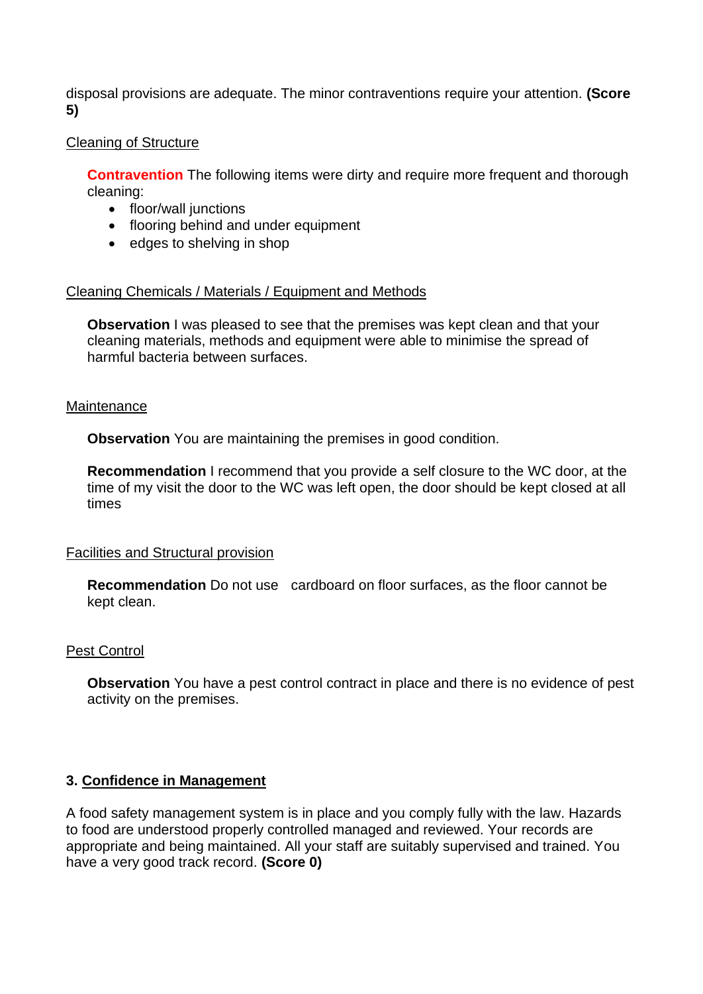disposal provisions are adequate. The minor contraventions require your attention. **(Score 5)** 

## Cleaning of Structure

**Contravention** The following items were dirty and require more frequent and thorough cleaning:

- floor/wall junctions
- flooring behind and under equipment
- edges to shelving in shop

### Cleaning Chemicals / Materials / Equipment and Methods

**Observation** I was pleased to see that the premises was kept clean and that your cleaning materials, methods and equipment were able to minimise the spread of harmful bacteria between surfaces.

#### **Maintenance**

**Observation** You are maintaining the premises in good condition.

 time of my visit the door to the WC was left open, the door should be kept closed at all **Recommendation** I recommend that you provide a self closure to the WC door, at the times

### Facilities and Structural provision

 **Recommendation** Do not use cardboard on floor surfaces, as the floor cannot be kept clean.

### Pest Control

 **Observation** You have a pest control contract in place and there is no evidence of pest activity on the premises.

### **3. Confidence in Management**

 appropriate and being maintained. All your staff are suitably supervised and trained. You A food safety management system is in place and you comply fully with the law. Hazards to food are understood properly controlled managed and reviewed. Your records are have a very good track record. **(Score 0)**